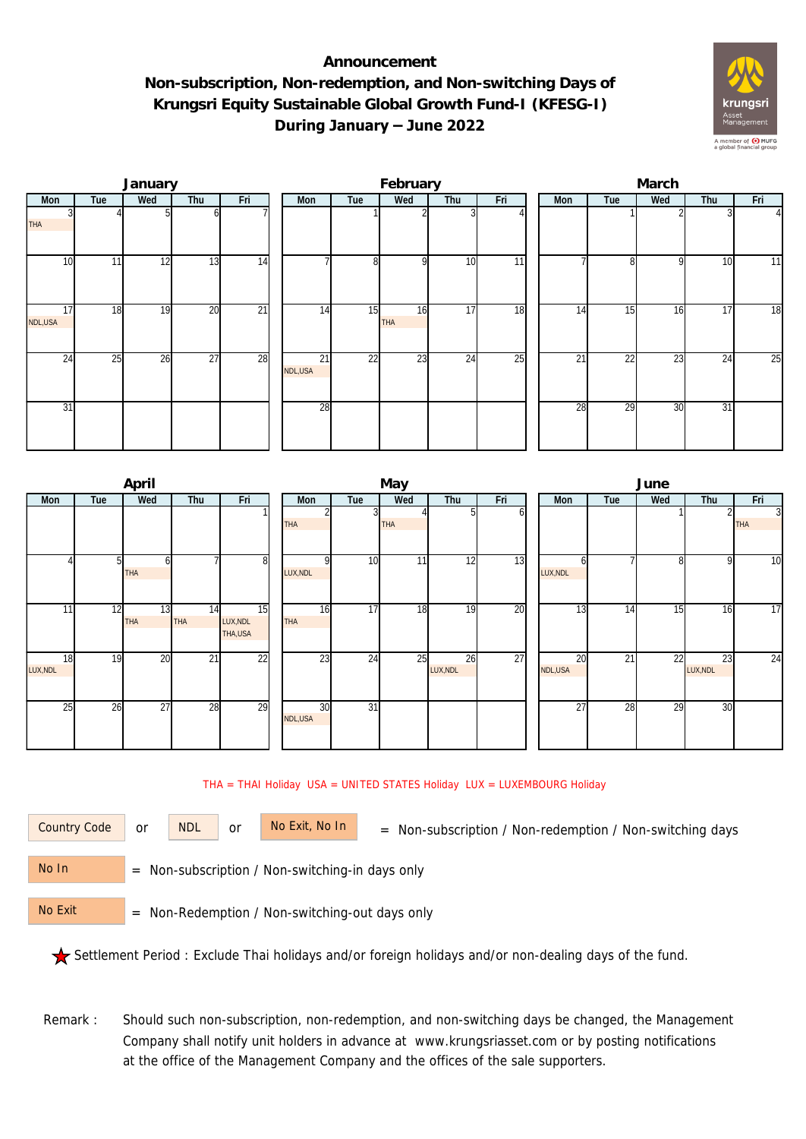## **Announcement Non-subscription, Non-redemption, and Non-switching Days of Krungsri Equity Sustainable Global Growth Fund-I (KFESG-I) During January – June 2022**



|               |     | January |                 |                 | February      |     |           |     |                 |  | March |     |     |     |                |  |  |
|---------------|-----|---------|-----------------|-----------------|---------------|-----|-----------|-----|-----------------|--|-------|-----|-----|-----|----------------|--|--|
| Mon           | Tue | Wed     | Thu             | Fri             | Mon           | Tue | Wed       | Thu | Fri             |  | Mon   | Tue | Wed | Thu | Fri            |  |  |
| <b>THA</b>    |     |         | ωI              |                 |               |     |           |     |                 |  |       |     |     |     | $\overline{4}$ |  |  |
| 10            | 11  | 12      | 13              | 14              |               | 8   | οI        | 10  | 11              |  |       | 81  | 9   | 10  | 11             |  |  |
| 17<br>NDL,USA | 18  | 19      | 20              | $\overline{21}$ | 14            | 15  | 16<br>THA | 17  | 18              |  | 14    | 15  | 16  | 17  | 18             |  |  |
| 24            | 25  | 26      | $\overline{27}$ | 28              | 21<br>NDL,USA | 22  | 23        | 24  | $\overline{25}$ |  | 21    | 22  | 23  | 24  | 25             |  |  |
| 31            |     |         |                 |                 | 28            |     |           |     |                 |  | 28    | 29  | 30  | 31  |                |  |  |

|                | April      |                 |                                         | May              |                 |            |                |     |  |               | June |     |                |                              |  |  |
|----------------|------------|-----------------|-----------------------------------------|------------------|-----------------|------------|----------------|-----|--|---------------|------|-----|----------------|------------------------------|--|--|
| Tue<br>Mon     | Wed<br>Thu |                 | Fri                                     | Mon              | Tue             | Wed        | Thu            | Fri |  | <b>Mon</b>    | Tue  | Wed | Thu            |                              |  |  |
|                |            |                 |                                         | <b>THA</b>       | 3               | <b>THA</b> | 51             | οı  |  |               |      |     |                | $\overline{3}$<br><b>THA</b> |  |  |
|                | 51<br>THA  |                 | 8                                       | LUX, NDL         | 10              | 11         | 12             | 13  |  | n<br>LUX, NDL |      | 81  | Q              | 10                           |  |  |
| 11             | 12<br>THA  | 13<br>14<br>THA | $\overline{15}$<br>LUX, NDL<br>THA, USA | 16<br><b>THA</b> | 17              | 18         | 19             | 20  |  | 13            | 14   | 15  | 16             | 17                           |  |  |
| 18<br>LUX, NDL | 19         | 20<br>21        | $\overline{22}$                         | 23               | 24              | 25         | 26<br>LUX, NDL | 27  |  | 20<br>NDL,USA | 21   | 22  | 23<br>LUX, NDL | $\overline{24}$              |  |  |
| 25             | 26<br>27   | 28              | $\overline{29}$                         | 30<br>NDL,USA    | $\overline{31}$ |            |                |     |  | 27            | 28   | 29  | 30             |                              |  |  |

## THA = THAI Holiday USA = UNITED STATES Holiday LUX = LUXEMBOURG Holiday

or NDL or

Country Code or NDL or No Exit, No In = Non-subscription / Non-redemption / Non-switching days

 = Non-subscription / Non-switching-in days only No In

 = Non-Redemption / Non-switching-out days only No Exit

Settlement Period : Exclude Thai holidays and/or foreign holidays and/or non-dealing days of the fund.

Remark : Should such non-subscription, non-redemption, and non-switching days be changed, the Management Company shall notify unit holders in advance at www.krungsriasset.com or by posting notifications at the office of the Management Company and the offices of the sale supporters.